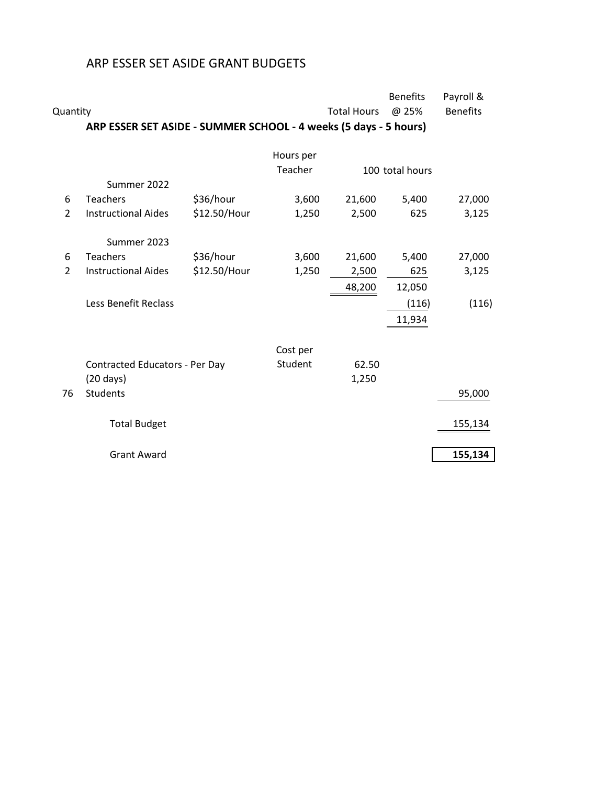## ARP ESSER SET ASIDE GRANT BUDGETS

| Quantity       |                                                                  |              |           | <b>Total Hours</b> | <b>Benefits</b><br>@ 25% | Payroll &<br><b>Benefits</b> |
|----------------|------------------------------------------------------------------|--------------|-----------|--------------------|--------------------------|------------------------------|
|                | ARP ESSER SET ASIDE - SUMMER SCHOOL - 4 weeks (5 days - 5 hours) |              |           |                    |                          |                              |
|                |                                                                  |              | Hours per |                    |                          |                              |
|                |                                                                  |              | Teacher   |                    | 100 total hours          |                              |
|                | Summer 2022                                                      |              |           |                    |                          |                              |
| 6              | <b>Teachers</b>                                                  | \$36/hour    | 3,600     | 21,600             | 5,400                    | 27,000                       |
| $\overline{2}$ | <b>Instructional Aides</b>                                       | \$12.50/Hour | 1,250     | 2,500              | 625                      | 3,125                        |
|                | Summer 2023                                                      |              |           |                    |                          |                              |
| 6              | <b>Teachers</b>                                                  | \$36/hour    | 3,600     | 21,600             | 5,400                    | 27,000                       |
| $\overline{2}$ | <b>Instructional Aides</b>                                       | \$12.50/Hour | 1,250     | 2,500              | 625                      | 3,125                        |
|                |                                                                  |              |           | 48,200             | 12,050                   |                              |
|                | Less Benefit Reclass                                             |              |           |                    | (116)                    | (116)                        |
|                |                                                                  |              |           |                    | 11,934                   |                              |
|                |                                                                  |              |           |                    |                          |                              |
|                |                                                                  |              | Cost per  |                    |                          |                              |
|                | Contracted Educators - Per Day                                   |              | Student   | 62.50              |                          |                              |
|                | $(20 \text{ days})$                                              |              |           | 1,250              |                          |                              |
| 76             | <b>Students</b>                                                  |              |           |                    |                          | 95,000                       |
|                |                                                                  |              |           |                    |                          |                              |
|                | <b>Total Budget</b>                                              |              |           |                    |                          | 155,134                      |
|                |                                                                  |              |           |                    |                          |                              |
|                | <b>Grant Award</b>                                               |              |           |                    |                          | 155,134                      |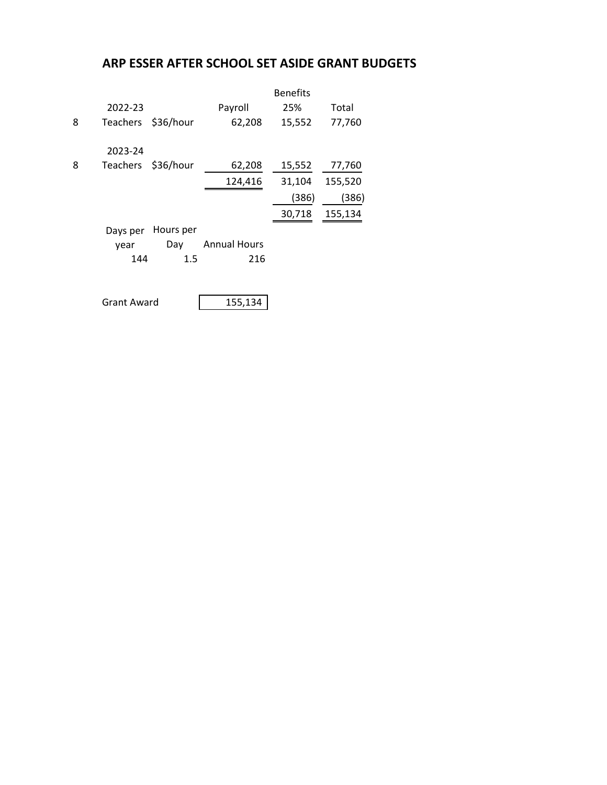## **ARP ESSER AFTER SCHOOL SET ASIDE GRANT BUDGETS**

|   |                    |           | <b>Benefits</b>     |        |         |
|---|--------------------|-----------|---------------------|--------|---------|
|   | 2022-23            |           | Payroll             | 25%    | Total   |
| 8 | Teachers           | \$36/hour | 62,208              | 15,552 | 77,760  |
|   | 2023-24            |           |                     |        |         |
| 8 | <b>Teachers</b>    | \$36/hour | 62,208              | 15,552 | 77,760  |
|   |                    |           | 124,416             | 31,104 | 155,520 |
|   |                    |           |                     | (386)  | (386)   |
|   |                    |           |                     | 30,718 | 155,134 |
|   | Days per           | Hours per |                     |        |         |
|   | year               | Day       | <b>Annual Hours</b> |        |         |
|   | 144                | $1.5\,$   | 216                 |        |         |
|   | <b>Grant Award</b> |           | 155,134             |        |         |